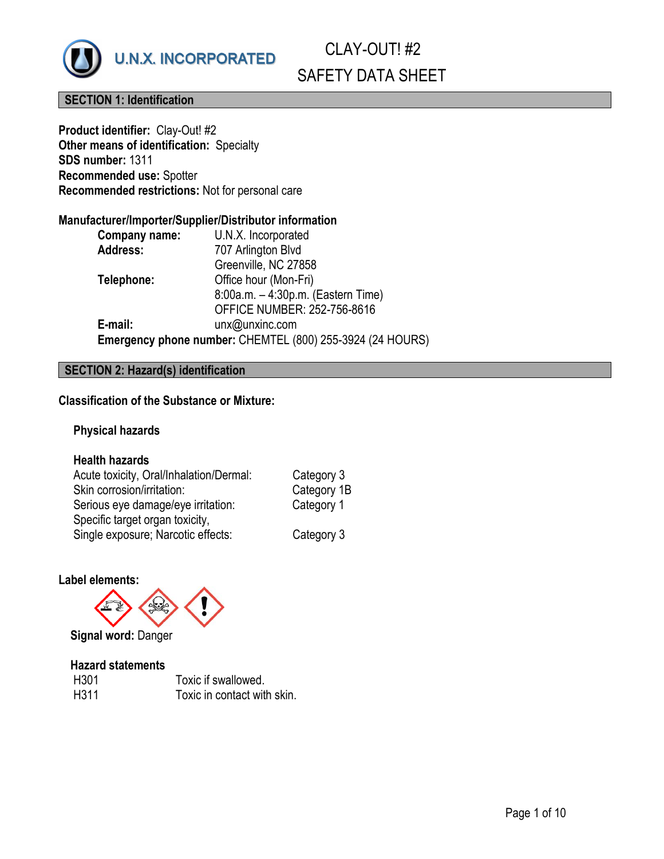

# **SECTION 1: Identification**

**Product identifier:** Clay-Out! #2 **Other means of identification:** Specialty **SDS number:** 1311 **Recommended use:** Spotter **Recommended restrictions:** Not for personal care

# **Manufacturer/Importer/Supplier/Distributor information**

| Company name:   | U.N.X. Incorporated                                       |
|-----------------|-----------------------------------------------------------|
| <b>Address:</b> | 707 Arlington Blvd                                        |
|                 | Greenville, NC 27858                                      |
| Telephone:      | Office hour (Mon-Fri)                                     |
|                 | 8:00a.m. - 4:30p.m. (Eastern Time)                        |
|                 | <b>OFFICE NUMBER: 252-756-8616</b>                        |
| E-mail:         | unx@unxinc.com                                            |
|                 | Emergency phone number: CHEMTEL (800) 255-3924 (24 HOURS) |
|                 |                                                           |

# **SECTION 2: Hazard(s) identification**

# **Classification of the Substance or Mixture:**

# **Physical hazards**

# **Health hazards**

| Acute toxicity, Oral/Inhalation/Dermal: | Category 3  |
|-----------------------------------------|-------------|
| Skin corrosion/irritation:              | Category 1B |
| Serious eye damage/eye irritation:      | Category 1  |
| Specific target organ toxicity,         |             |
| Single exposure; Narcotic effects:      | Category 3  |

#### **Label elements:**



 **Signal word:** Danger

#### **Hazard statements**

| H301 | Toxic if swallowed.         |
|------|-----------------------------|
| H311 | Toxic in contact with skin. |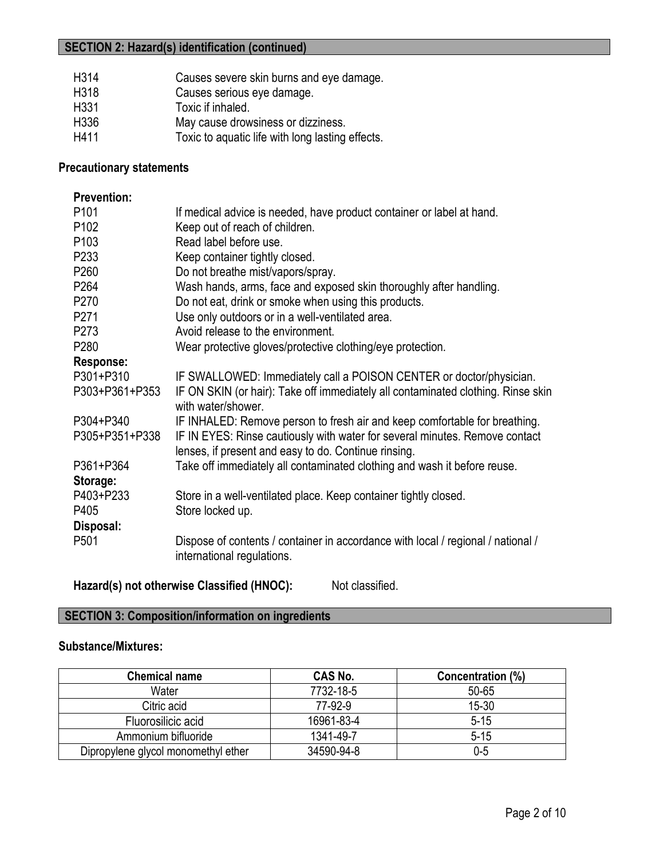# **SECTION 2: Hazard(s) identification (continued)**

| H314 | Causes severe skin burns and eye damage.         |
|------|--------------------------------------------------|
| H318 | Causes serious eye damage.                       |
| H331 | Toxic if inhaled.                                |
| H336 | May cause drowsiness or dizziness.               |
| H411 | Toxic to aquatic life with long lasting effects. |

### **Precautionary statements**

| <b>Prevention:</b> |                                                                                                                                     |
|--------------------|-------------------------------------------------------------------------------------------------------------------------------------|
| P <sub>101</sub>   | If medical advice is needed, have product container or label at hand.                                                               |
| P <sub>102</sub>   | Keep out of reach of children.                                                                                                      |
| P <sub>103</sub>   | Read label before use.                                                                                                              |
| P <sub>233</sub>   | Keep container tightly closed.                                                                                                      |
| P <sub>260</sub>   | Do not breathe mist/vapors/spray.                                                                                                   |
| P <sub>264</sub>   | Wash hands, arms, face and exposed skin thoroughly after handling.                                                                  |
| P270               | Do not eat, drink or smoke when using this products.                                                                                |
| P271               | Use only outdoors or in a well-ventilated area.                                                                                     |
| P273               | Avoid release to the environment.                                                                                                   |
| P <sub>280</sub>   | Wear protective gloves/protective clothing/eye protection.                                                                          |
| Response:          |                                                                                                                                     |
| P301+P310          | IF SWALLOWED: Immediately call a POISON CENTER or doctor/physician.                                                                 |
| P303+P361+P353     | IF ON SKIN (or hair): Take off immediately all contaminated clothing. Rinse skin<br>with water/shower.                              |
| P304+P340          | IF INHALED: Remove person to fresh air and keep comfortable for breathing.                                                          |
| P305+P351+P338     | IF IN EYES: Rinse cautiously with water for several minutes. Remove contact<br>lenses, if present and easy to do. Continue rinsing. |
| P361+P364          | Take off immediately all contaminated clothing and wash it before reuse.                                                            |
| Storage:           |                                                                                                                                     |
| P403+P233          | Store in a well-ventilated place. Keep container tightly closed.                                                                    |
| P405               | Store locked up.                                                                                                                    |
| Disposal:          |                                                                                                                                     |
| P <sub>501</sub>   | Dispose of contents / container in accordance with local / regional / national /<br>international regulations.                      |

**Hazard(s) not otherwise Classified (HNOC):** Not classified.

# **SECTION 3: Composition/information on ingredients**

# **Substance/Mixtures:**

| <b>Chemical name</b>                | <b>CAS No.</b> | Concentration (%) |
|-------------------------------------|----------------|-------------------|
| Water                               | 7732-18-5      | 50-65             |
| Citric acid                         | 77-92-9        | $15 - 30$         |
| Fluorosilicic acid                  | 16961-83-4     | $5 - 15$          |
| Ammonium bifluoride                 | 1341-49-7      | $5 - 15$          |
| Dipropylene glycol monomethyl ether | 34590-94-8     | $0-5$             |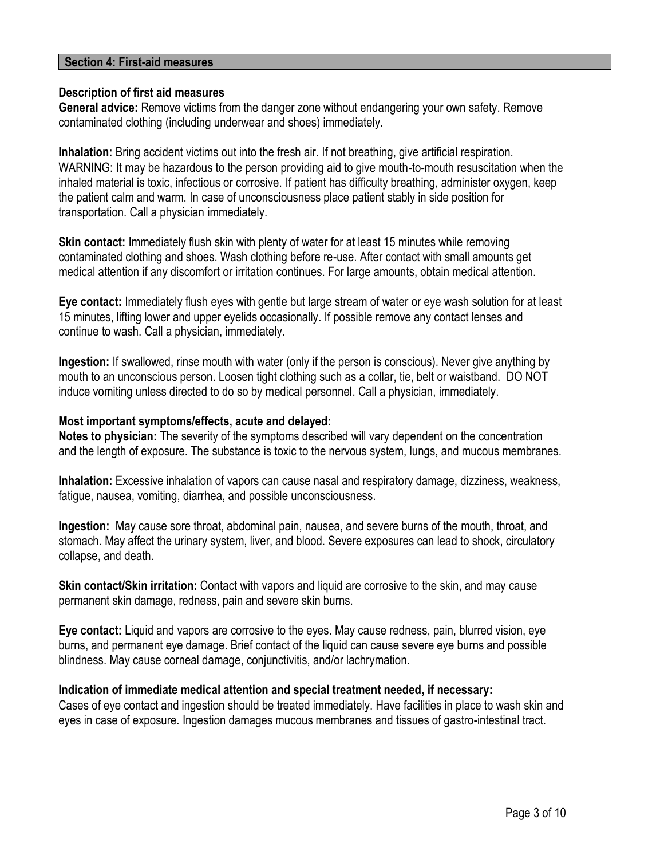### **Section 4: First-aid measures**

#### **Description of first aid measures**

**General advice:** Remove victims from the danger zone without endangering your own safety. Remove contaminated clothing (including underwear and shoes) immediately.

**Inhalation:** Bring accident victims out into the fresh air. If not breathing, give artificial respiration. WARNING: It may be hazardous to the person providing aid to give mouth-to-mouth resuscitation when the inhaled material is toxic, infectious or corrosive. If patient has difficulty breathing, administer oxygen, keep the patient calm and warm. In case of unconsciousness place patient stably in side position for transportation. Call a physician immediately.

**Skin contact:** Immediately flush skin with plenty of water for at least 15 minutes while removing contaminated clothing and shoes. Wash clothing before re-use. After contact with small amounts get medical attention if any discomfort or irritation continues. For large amounts, obtain medical attention.

**Eye contact:** Immediately flush eyes with gentle but large stream of water or eye wash solution for at least 15 minutes, lifting lower and upper eyelids occasionally. If possible remove any contact lenses and continue to wash. Call a physician, immediately.

**Ingestion:** If swallowed, rinse mouth with water (only if the person is conscious). Never give anything by mouth to an unconscious person. Loosen tight clothing such as a collar, tie, belt or waistband. DO NOT induce vomiting unless directed to do so by medical personnel. Call a physician, immediately.

#### **Most important symptoms/effects, acute and delayed:**

**Notes to physician:** The severity of the symptoms described will vary dependent on the concentration and the length of exposure. The substance is toxic to the nervous system, lungs, and mucous membranes.

**Inhalation:** Excessive inhalation of vapors can cause nasal and respiratory damage, dizziness, weakness, fatigue, nausea, vomiting, diarrhea, and possible unconsciousness.

**Ingestion:** May cause sore throat, abdominal pain, nausea, and severe burns of the mouth, throat, and stomach. May affect the urinary system, liver, and blood. Severe exposures can lead to shock, circulatory collapse, and death.

**Skin contact/Skin irritation:** Contact with vapors and liquid are corrosive to the skin, and may cause permanent skin damage, redness, pain and severe skin burns.

**Eye contact:** Liquid and vapors are corrosive to the eyes. May cause redness, pain, blurred vision, eye burns, and permanent eye damage. Brief contact of the liquid can cause severe eye burns and possible blindness. May cause corneal damage, conjunctivitis, and/or lachrymation.

#### **Indication of immediate medical attention and special treatment needed, if necessary:**

Cases of eye contact and ingestion should be treated immediately. Have facilities in place to wash skin and eyes in case of exposure. Ingestion damages mucous membranes and tissues of gastro-intestinal tract.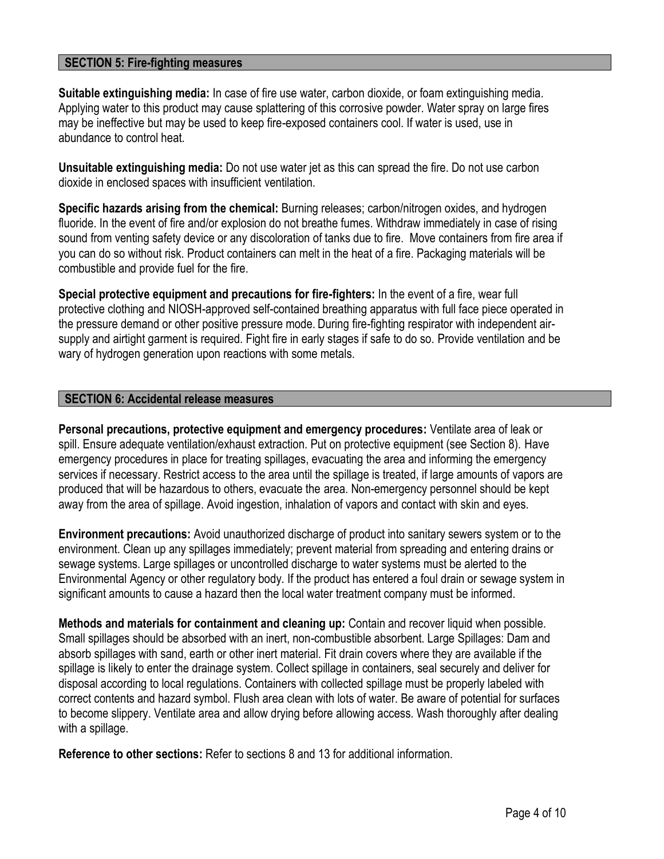# **SECTION 5: Fire-fighting measures**

**Suitable extinguishing media:** In case of fire use water, carbon dioxide, or foam extinguishing media. Applying water to this product may cause splattering of this corrosive powder. Water spray on large fires may be ineffective but may be used to keep fire-exposed containers cool. If water is used, use in abundance to control heat.

**Unsuitable extinguishing media:** Do not use water jet as this can spread the fire. Do not use carbon dioxide in enclosed spaces with insufficient ventilation.

**Specific hazards arising from the chemical:** Burning releases; carbon/nitrogen oxides, and hydrogen fluoride. In the event of fire and/or explosion do not breathe fumes. Withdraw immediately in case of rising sound from venting safety device or any discoloration of tanks due to fire. Move containers from fire area if you can do so without risk. Product containers can melt in the heat of a fire. Packaging materials will be combustible and provide fuel for the fire.

**Special protective equipment and precautions for fire-fighters:** In the event of a fire, wear full protective clothing and NIOSH-approved self-contained breathing apparatus with full face piece operated in the pressure demand or other positive pressure mode. During fire-fighting respirator with independent airsupply and airtight garment is required. Fight fire in early stages if safe to do so. Provide ventilation and be wary of hydrogen generation upon reactions with some metals.

#### **SECTION 6: Accidental release measures**

**Personal precautions, protective equipment and emergency procedures:** Ventilate area of leak or spill. Ensure adequate ventilation/exhaust extraction. Put on protective equipment (see Section 8). Have emergency procedures in place for treating spillages, evacuating the area and informing the emergency services if necessary. Restrict access to the area until the spillage is treated, if large amounts of vapors are produced that will be hazardous to others, evacuate the area. Non-emergency personnel should be kept away from the area of spillage. Avoid ingestion, inhalation of vapors and contact with skin and eyes.

**Environment precautions:** Avoid unauthorized discharge of product into sanitary sewers system or to the environment. Clean up any spillages immediately; prevent material from spreading and entering drains or sewage systems. Large spillages or uncontrolled discharge to water systems must be alerted to the Environmental Agency or other regulatory body. If the product has entered a foul drain or sewage system in significant amounts to cause a hazard then the local water treatment company must be informed.

**Methods and materials for containment and cleaning up:** Contain and recover liquid when possible. Small spillages should be absorbed with an inert, non-combustible absorbent. Large Spillages: Dam and absorb spillages with sand, earth or other inert material. Fit drain covers where they are available if the spillage is likely to enter the drainage system. Collect spillage in containers, seal securely and deliver for disposal according to local regulations. Containers with collected spillage must be properly labeled with correct contents and hazard symbol. Flush area clean with lots of water. Be aware of potential for surfaces to become slippery. Ventilate area and allow drying before allowing access. Wash thoroughly after dealing with a spillage.

**Reference to other sections:** Refer to sections 8 and 13 for additional information.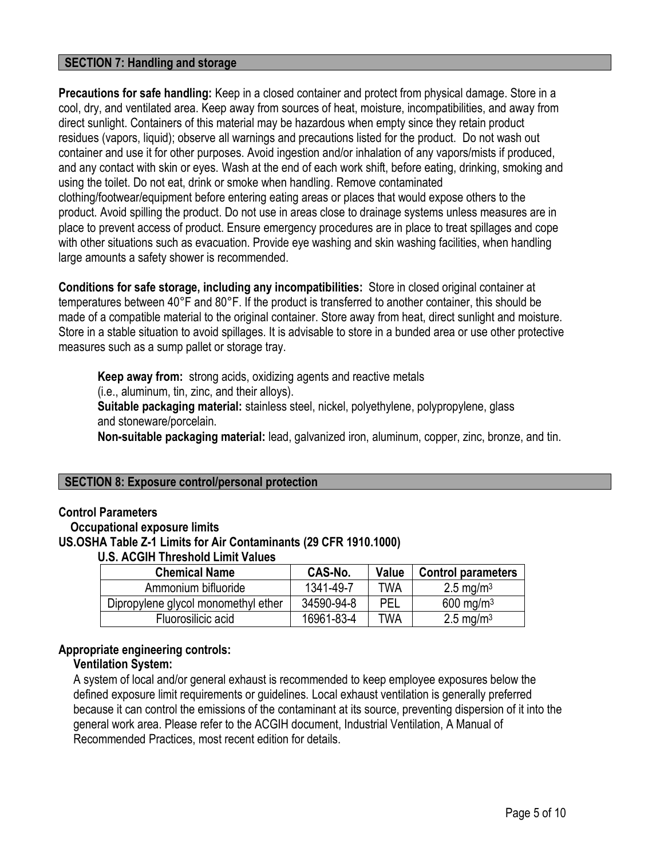# **SECTION 7: Handling and storage**

**Precautions for safe handling:** Keep in a closed container and protect from physical damage. Store in a cool, dry, and ventilated area. Keep away from sources of heat, moisture, incompatibilities, and away from direct sunlight. Containers of this material may be hazardous when empty since they retain product residues (vapors, liquid); observe all warnings and precautions listed for the product. Do not wash out container and use it for other purposes. Avoid ingestion and/or inhalation of any vapors/mists if produced, and any contact with skin or eyes. Wash at the end of each work shift, before eating, drinking, smoking and using the toilet. Do not eat, drink or smoke when handling. Remove contaminated clothing/footwear/equipment before entering eating areas or places that would expose others to the product. Avoid spilling the product. Do not use in areas close to drainage systems unless measures are in place to prevent access of product. Ensure emergency procedures are in place to treat spillages and cope with other situations such as evacuation. Provide eye washing and skin washing facilities, when handling large amounts a safety shower is recommended.

**Conditions for safe storage, including any incompatibilities:** Store in closed original container at temperatures between 40°F and 80°F. If the product is transferred to another container, this should be made of a compatible material to the original container. Store away from heat, direct sunlight and moisture. Store in a stable situation to avoid spillages. It is advisable to store in a bunded area or use other protective measures such as a sump pallet or storage tray.

**Keep away from:** strong acids, oxidizing agents and reactive metals (i.e., aluminum, tin, zinc, and their alloys). **Suitable packaging material:** stainless steel, nickel, polyethylene, polypropylene, glass and stoneware/porcelain. **Non-suitable packaging material:** lead, galvanized iron, aluminum, copper, zinc, bronze, and tin.

#### **SECTION 8: Exposure control/personal protection**

#### **Control Parameters**

 **Occupational exposure limits**

#### **US.OSHA Table Z-1 Limits for Air Contaminants (29 CFR 1910.1000)**

#### **U.S. ACGIH Threshold Limit Values**

| <b>Chemical Name</b>                | CAS-No.    | Value | <b>Control parameters</b> |
|-------------------------------------|------------|-------|---------------------------|
| Ammonium bifluoride                 | 1341-49-7  | TWA   | 2.5 mg/m <sup>3</sup>     |
| Dipropylene glycol monomethyl ether | 34590-94-8 | PEL   | 600 mg/m <sup>3</sup>     |
| Fluorosilicic acid                  | 16961-83-4 | TWA   | 2.5 mg/m <sup>3</sup>     |

#### **Appropriate engineering controls:**

# **Ventilation System:**

 A system of local and/or general exhaust is recommended to keep employee exposures below the defined exposure limit requirements or guidelines. Local exhaust ventilation is generally preferred because it can control the emissions of the contaminant at its source, preventing dispersion of it into the general work area. Please refer to the ACGIH document, Industrial Ventilation, A Manual of Recommended Practices, most recent edition for details.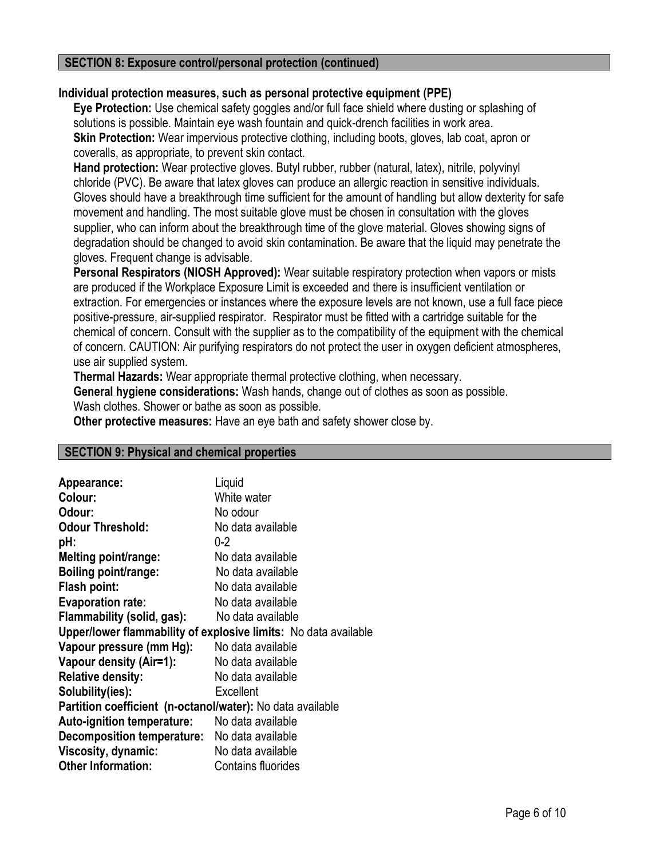#### **SECTION 8: Exposure control/personal protection (continued)**

# **Individual protection measures, such as personal protective equipment (PPE)**

 **Eye Protection:** Use chemical safety goggles and/or full face shield where dusting or splashing of solutions is possible. Maintain eye wash fountain and quick-drench facilities in work area. **Skin Protection:** Wear impervious protective clothing, including boots, gloves, lab coat, apron or coveralls, as appropriate, to prevent skin contact.

 **Hand protection:** Wear protective gloves. Butyl rubber, rubber (natural, latex), nitrile, polyvinyl chloride (PVC). Be aware that latex gloves can produce an allergic reaction in sensitive individuals. Gloves should have a breakthrough time sufficient for the amount of handling but allow dexterity for safe movement and handling. The most suitable glove must be chosen in consultation with the gloves supplier, who can inform about the breakthrough time of the glove material. Gloves showing signs of degradation should be changed to avoid skin contamination. Be aware that the liquid may penetrate the gloves. Frequent change is advisable.

 **Personal Respirators (NIOSH Approved):** Wear suitable respiratory protection when vapors or mists are produced if the Workplace Exposure Limit is exceeded and there is insufficient ventilation or extraction. For emergencies or instances where the exposure levels are not known, use a full face piece positive-pressure, air-supplied respirator. Respirator must be fitted with a cartridge suitable for the chemical of concern. Consult with the supplier as to the compatibility of the equipment with the chemical of concern. CAUTION: Air purifying respirators do not protect the user in oxygen deficient atmospheres, use air supplied system.

 **Thermal Hazards:** Wear appropriate thermal protective clothing, when necessary.

 **General hygiene considerations:** Wash hands, change out of clothes as soon as possible.

Wash clothes. Shower or bathe as soon as possible.

 **Other protective measures:** Have an eye bath and safety shower close by.

#### **SECTION 9: Physical and chemical properties**

| Liquid                                                          |
|-----------------------------------------------------------------|
| White water                                                     |
| No odour                                                        |
| No data available                                               |
| $0 - 2$                                                         |
| No data available                                               |
| No data available                                               |
| No data available                                               |
| No data available                                               |
| No data available                                               |
| Upper/lower flammability of explosive limits: No data available |
| No data available                                               |
| No data available                                               |
| No data available                                               |
| Excellent                                                       |
| Partition coefficient (n-octanol/water): No data available      |
| No data available                                               |
| <b>Decomposition temperature:</b> No data available             |
| No data available                                               |
| <b>Contains fluorides</b>                                       |
|                                                                 |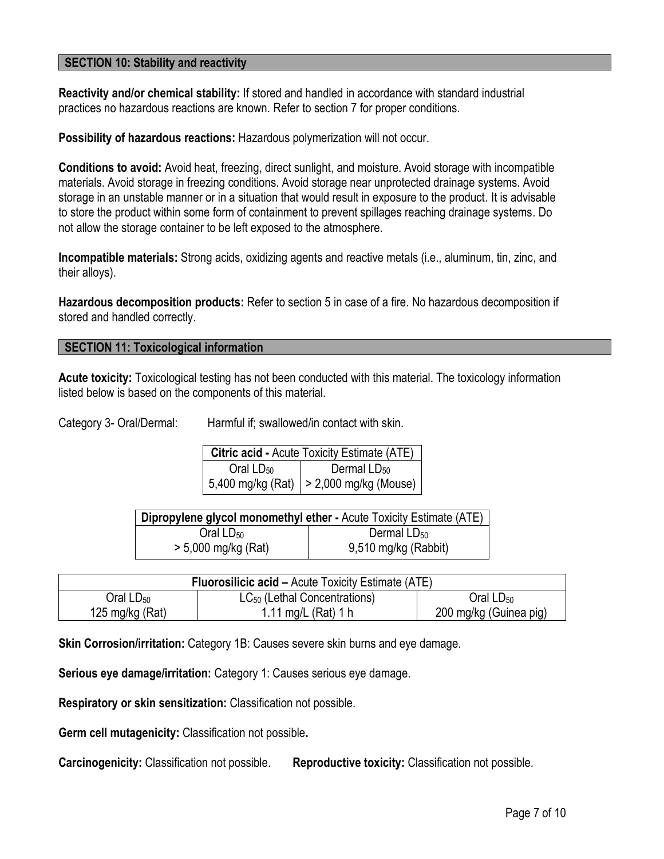### **SECTION 10: Stability and reactivity**

**Reactivity and/or chemical stability:** If stored and handled in accordance with standard industrial practices no hazardous reactions are known. Refer to section 7 for proper conditions.

**Possibility of hazardous reactions:** Hazardous polymerization will not occur.

**Conditions to avoid:** Avoid heat, freezing, direct sunlight, and moisture. Avoid storage with incompatible materials. Avoid storage in freezing conditions. Avoid storage near unprotected drainage systems. Avoid storage in an unstable manner or in a situation that would result in exposure to the product. It is advisable to store the product within some form of containment to prevent spillages reaching drainage systems. Do not allow the storage container to be left exposed to the atmosphere.

**Incompatible materials:** Strong acids, oxidizing agents and reactive metals (i.e., aluminum, tin, zinc, and their alloys).

**Hazardous decomposition products:** Refer to section 5 in case of a fire. No hazardous decomposition if stored and handled correctly.

#### **SECTION 11: Toxicological information**

**Acute toxicity:** Toxicological testing has not been conducted with this material. The toxicology information listed below is based on the components of this material.

Category 3- Oral/Dermal: Harmful if; swallowed/in contact with skin.

| <b>Citric acid - Acute Toxicity Estimate (ATE)</b> |                                             |  |  |
|----------------------------------------------------|---------------------------------------------|--|--|
| Oral $LD_{50}$<br>Dermal $LD_{50}$                 |                                             |  |  |
|                                                    | 5,400 mg/kg (Rat)   $> 2,000$ mg/kg (Mouse) |  |  |

| Dipropylene glycol monomethyl ether - Acute Toxicity Estimate (ATE) |                      |  |  |
|---------------------------------------------------------------------|----------------------|--|--|
| Oral $LD_{50}$                                                      | Dermal $LD_{50}$     |  |  |
| $> 5,000$ mg/kg (Rat)                                               | 9,510 mg/kg (Rabbit) |  |  |

| <b>Fluorosilicic acid – Acute Toxicity Estimate (ATE)</b> |                                          |                        |  |
|-----------------------------------------------------------|------------------------------------------|------------------------|--|
| $O$ ral L $D_{50}$                                        | LC <sub>50</sub> (Lethal Concentrations) | Oral $LD_{50}$         |  |
| 125 mg/kg (Rat)                                           | 1.11 mg/L $(Rat)$ 1 h                    | 200 mg/kg (Guinea pig) |  |

**Skin Corrosion/irritation:** Category 1B: Causes severe skin burns and eye damage.

**Serious eye damage/irritation:** Category 1: Causes serious eye damage.

**Respiratory or skin sensitization:** Classification not possible.

**Germ cell mutagenicity:** Classification not possible**.**

**Carcinogenicity:** Classification not possible. **Reproductive toxicity:** Classification not possible.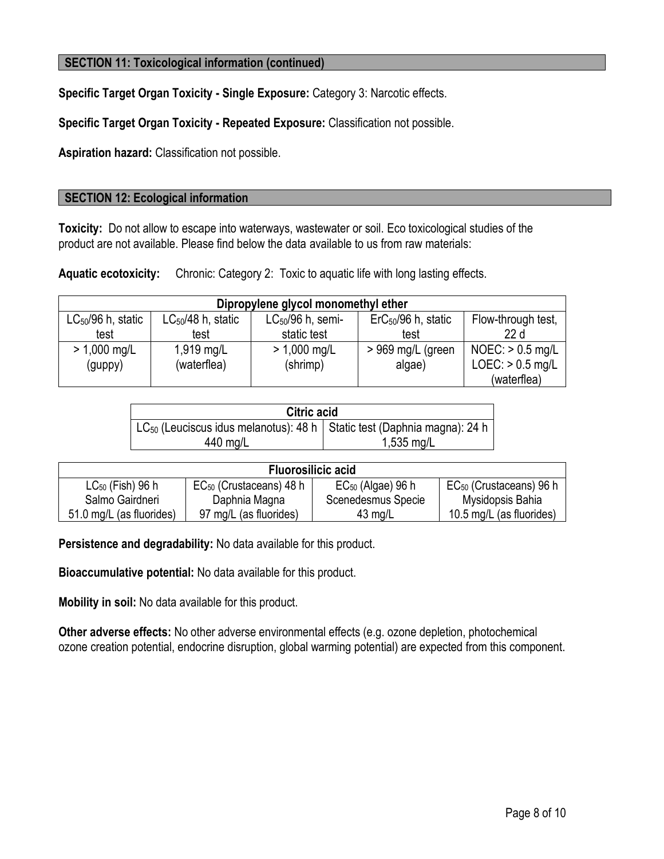# **SECTION 11: Toxicological information (continued)**

**Specific Target Organ Toxicity - Single Exposure:** Category 3: Narcotic effects.

**Specific Target Organ Toxicity - Repeated Exposure:** Classification not possible.

**Aspiration hazard:** Classification not possible.

#### **SECTION 12: Ecological information**

**Toxicity:** Do not allow to escape into waterways, wastewater or soil. Eco toxicological studies of the product are not available. Please find below the data available to us from raw materials:

**Aquatic ecotoxicity:** Chronic: Category 2: Toxic to aquatic life with long lasting effects.

| Dipropylene glycol monomethyl ether |                        |                       |                                |                    |
|-------------------------------------|------------------------|-----------------------|--------------------------------|--------------------|
| $LC_{50}/96$ h, static              | $LC_{50}/48$ h, static | $LC_{50}/96$ h, semi- | $\text{ErC}_{50}/96$ h, static | Flow-through test, |
| test                                | test                   | static test           | test                           | 22d                |
| $> 1,000$ mg/L                      | $1,919$ mg/L           | $> 1,000$ mg/L        | > 969 mg/L (green              | $NOEC:$ > 0.5 mg/L |
| (guppy)                             | (waterflea)            | (shrimp)              | algae)                         | $LOEC:$ > 0.5 mg/L |
|                                     |                        |                       |                                | (waterflea)        |

| <b>Citric acid</b>                                                                    |              |  |  |  |
|---------------------------------------------------------------------------------------|--------------|--|--|--|
| LC <sub>50</sub> (Leuciscus idus melanotus): 48 h   Static test (Daphnia magna): 24 h |              |  |  |  |
| 440 mg/L                                                                              | $1,535$ mg/L |  |  |  |

| <b>Fluorosilicic acid</b> |                              |                        |                              |  |  |
|---------------------------|------------------------------|------------------------|------------------------------|--|--|
| $LC_{50}$ (Fish) 96 h     | $EC_{50}$ (Crustaceans) 48 h | $EC_{50}$ (Algae) 96 h | $EC_{50}$ (Crustaceans) 96 h |  |  |
| Salmo Gairdneri           | Daphnia Magna                | Scenedesmus Specie     | Mysidopsis Bahia             |  |  |
| 51.0 mg/L (as fluorides)  | 97 mg/L (as fluorides)       | $43 \text{ mg/L}$      | 10.5 mg/L (as fluorides)     |  |  |

**Persistence and degradability:** No data available for this product.

**Bioaccumulative potential:** No data available for this product.

**Mobility in soil:** No data available for this product.

**Other adverse effects:** No other adverse environmental effects (e.g. ozone depletion, photochemical ozone creation potential, endocrine disruption, global warming potential) are expected from this component.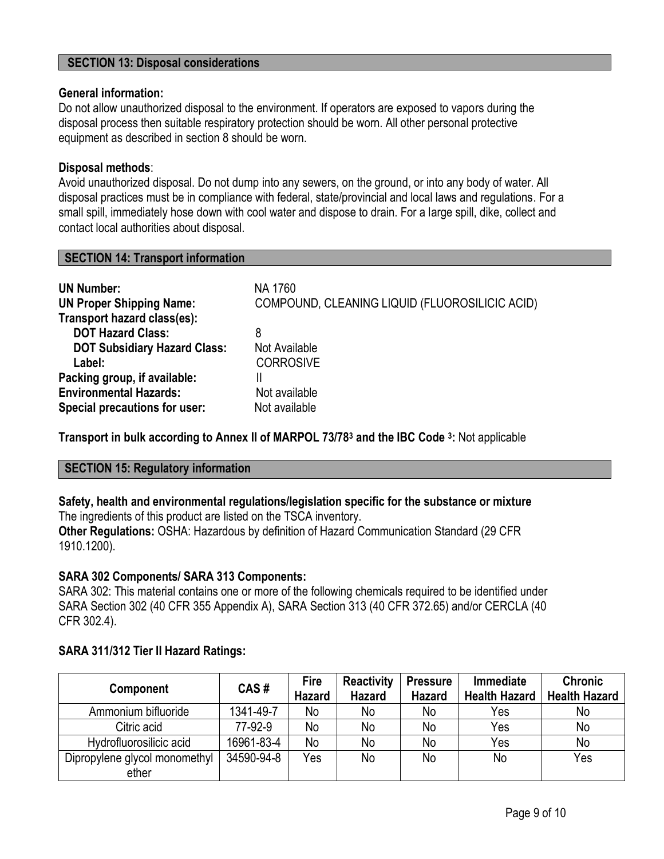### **SECTION 13: Disposal considerations**

#### **General information:**

Do not allow unauthorized disposal to the environment. If operators are exposed to vapors during the disposal process then suitable respiratory protection should be worn. All other personal protective equipment as described in section 8 should be worn.

#### **Disposal methods**:

Avoid unauthorized disposal. Do not dump into any sewers, on the ground, or into any body of water. All disposal practices must be in compliance with federal, state/provincial and local laws and regulations. For a small spill, immediately hose down with cool water and dispose to drain. For a large spill, dike, collect and contact local authorities about disposal.

| <b>UN Number:</b>                   | NA 1760                                        |
|-------------------------------------|------------------------------------------------|
| <b>UN Proper Shipping Name:</b>     | COMPOUND, CLEANING LIQUID (FLUOROSILICIC ACID) |
| Transport hazard class(es):         |                                                |
| <b>DOT Hazard Class:</b>            | 8                                              |
| <b>DOT Subsidiary Hazard Class:</b> | Not Available                                  |
| Label:                              | <b>CORROSIVE</b>                               |
| Packing group, if available:        |                                                |
| <b>Environmental Hazards:</b>       | Not available                                  |
| Special precautions for user:       | Not available                                  |

**Transport in bulk according to Annex II of MARPOL 73/78<sup>3</sup> and the IBC Code <sup>3</sup> :** Not applicable

#### **SECTION 15: Regulatory information**

**SECTION 14: Transport information**

#### **Safety, health and environmental regulations/legislation specific for the substance or mixture**  The ingredients of this product are listed on the TSCA inventory.

**Other Regulations:** OSHA: Hazardous by definition of Hazard Communication Standard (29 CFR 1910.1200).

#### **SARA 302 Components/ SARA 313 Components:**

SARA 302: This material contains one or more of the following chemicals required to be identified under SARA Section 302 (40 CFR 355 Appendix A), SARA Section 313 (40 CFR 372.65) and/or CERCLA (40 CFR 302.4).

#### **SARA 311/312 Tier II Hazard Ratings:**

|                               | CAS#       |               | <b>Reactivity</b> | <b>Pressure</b> | <b>Immediate</b>     | <b>Chronic</b>       |
|-------------------------------|------------|---------------|-------------------|-----------------|----------------------|----------------------|
| <b>Component</b>              |            | <b>Hazard</b> | <b>Hazard</b>     | <b>Hazard</b>   | <b>Health Hazard</b> | <b>Health Hazard</b> |
| Ammonium bifluoride           | 1341-49-7  | No            | No                | No              | Yes                  | No                   |
| Citric acid                   | 77-92-9    | No            | No                | No              | Yes                  | No                   |
| Hydrofluorosilicic acid       | 16961-83-4 | No            | No                | No              | Yes                  | No                   |
| Dipropylene glycol monomethyl | 34590-94-8 | Yes           | No                | No              | No                   | Yes                  |
| ether                         |            |               |                   |                 |                      |                      |